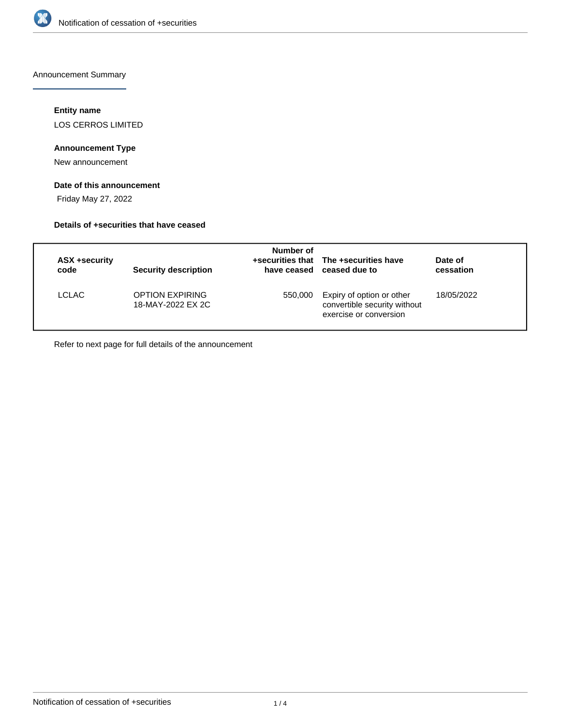

Announcement Summary

# **Entity name**

LOS CERROS LIMITED

# **Announcement Type**

New announcement

# **Date of this announcement**

Friday May 27, 2022

#### **Details of +securities that have ceased**

| ASX +security<br>code | <b>Security description</b>                 | Number of | +securities that The +securities have<br>have ceased ceased due to                  | Date of<br>cessation |  |
|-----------------------|---------------------------------------------|-----------|-------------------------------------------------------------------------------------|----------------------|--|
| LCLAC                 | <b>OPTION EXPIRING</b><br>18-MAY-2022 EX 2C | 550,000   | Expiry of option or other<br>convertible security without<br>exercise or conversion | 18/05/2022           |  |

Refer to next page for full details of the announcement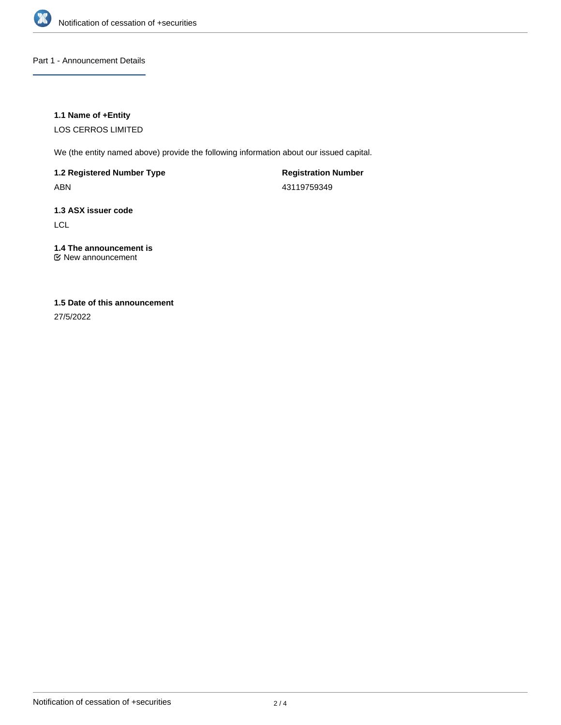

### Part 1 - Announcement Details

### **1.1 Name of +Entity**

LOS CERROS LIMITED

We (the entity named above) provide the following information about our issued capital.

**1.2 Registered Number Type**

ABN

**Registration Number** 43119759349

# **1.3 ASX issuer code**

LCL

# **1.4 The announcement is**

New announcement

# **1.5 Date of this announcement**

27/5/2022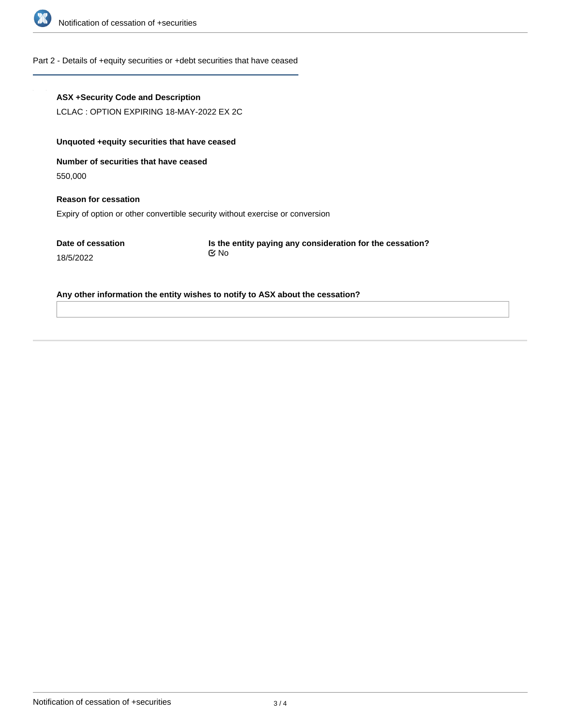

#### Part 2 - Details of +equity securities or +debt securities that have ceased

#### **ASX +Security Code and Description**

LCLAC : OPTION EXPIRING 18-MAY-2022 EX 2C

## **Unquoted +equity securities that have ceased**

**Number of securities that have ceased**

550,000

**Reason for cessation** Expiry of option or other convertible security without exercise or conversion

**Date of cessation**

18/5/2022

**Is the entity paying any consideration for the cessation?** No

**Any other information the entity wishes to notify to ASX about the cessation?**